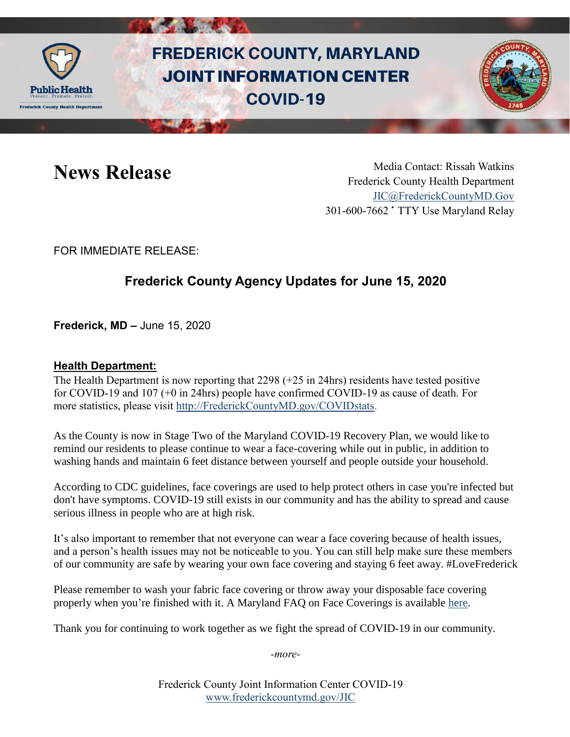

# **FREDERICK COUNTY, MARYLAND JOINT INFORMATION CENTER COVID-19**



News Release Media Contact: Rissah Watkins Frederick County Health Department [JIC@FrederickCountyMD.Gov](mailto:JIC@FrederickCountyMD.Gov) 301-600-7662 • TTY Use Maryland Relay

FOR IMMEDIATE RELEASE:

## **Frederick County Agency Updates for June 15, 2020**

**Frederick, MD –** June 15, 2020

#### **Health Department:**

The Health Department is now reporting that  $2298 (+25)$  in 24hrs) residents have tested positive for COVID-19 and 107 (+0 in 24hrs) people have confirmed COVID-19 as cause of death. For more statistics, please visit [http://FrederickCountyMD.gov/COVIDstats.](http://frederickcountymd.gov/COVIDstats)

As the County is now in Stage Two of the Maryland COVID-19 Recovery Plan, we would like to remind our residents to please continue to wear a face-covering while out in public, in addition to washing hands and maintain 6 feet distance between yourself and people outside your household.

According to CDC guidelines, face coverings are used to help protect others in case you're infected but don't have symptoms. COVID-19 still exists in our community and has the ability to spread and cause serious illness in people who are at high risk.

It's also important to remember that not everyone can wear a face covering because of health issues, and a person's health issues may not be noticeable to you. You can still help make sure these members of our community are safe by wearing your own face covering and staying 6 feet away. #LoveFrederick

Please remember to wash your fabric face covering or throw away your disposable face covering properly when you're finished with it. A Maryland FAQ on Face Coverings is available [here.](https://commerce.maryland.gov/Documents/BusinessResource/Mask-FAQ-COVID-19-Best-Practices.pdf)

Thank you for continuing to work together as we fight the spread of COVID-19 in our community.

*-more-*

Frederick County Joint Information Center COVID-19 [www.frederickcountymd.gov/JIC](https://frederickcountymd.gov/JIC)